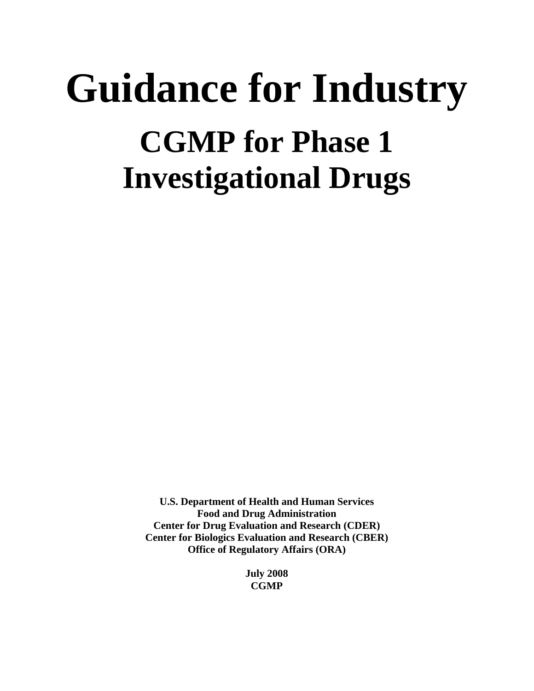# **Guidance for Industry CGMP for Phase 1 Investigational Drugs**

**U.S. Department of Health and Human Services Food and Drug Administration Center for Drug Evaluation and Research (CDER) Center for Biologics Evaluation and Research (CBER) Office of Regulatory Affairs (ORA)** 

> **July 2008 CGMP**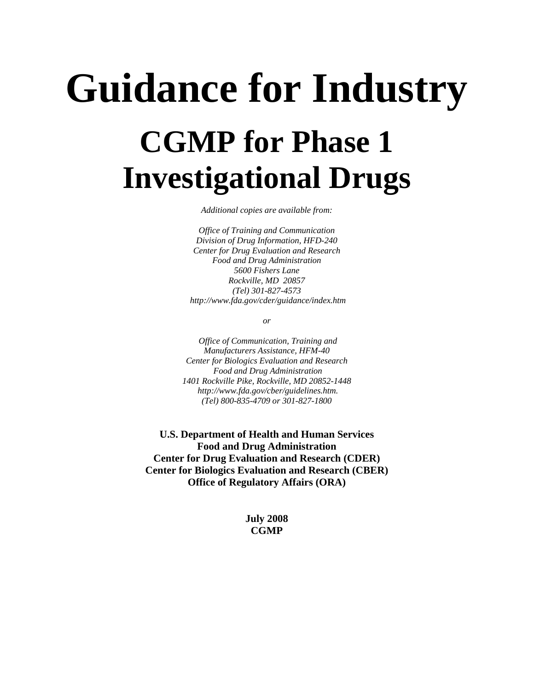# **Guidance for Industry CGMP for Phase 1 Investigational Drugs**

*Additional copies are available from:* 

*Office of Training and Communication Division of Drug Information, HFD-240 Center for Drug Evaluation and Research Food and Drug Administration 5600 Fishers Lane Rockville, MD 20857 (Tel) 301-827-4573 http://www.fda.gov/cder/guidance/index.htm* 

*or* 

 *Office of Communication, Training and Manufacturers Assistance, HFM-40 Center for Biologics Evaluation and Research Food and Drug Administration 1401 Rockville Pike, Rockville, MD 20852-1448 http://www.fda.gov/cber/guidelines.htm. (Tel) 800-835-4709 or 301-827-1800* 

**U.S. Department of Health and Human Services Food and Drug Administration Center for Drug Evaluation and Research (CDER) Center for Biologics Evaluation and Research (CBER) Office of Regulatory Affairs (ORA)** 

> **July 2008 CGMP**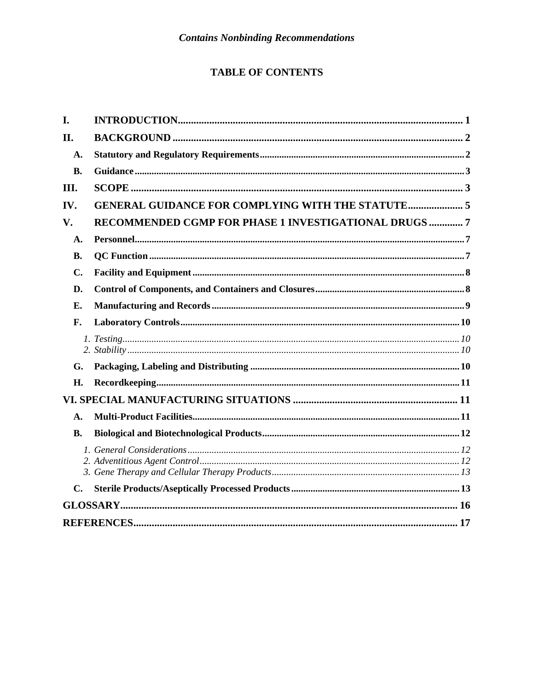## **TABLE OF CONTENTS**

| I.             |                                                          |  |
|----------------|----------------------------------------------------------|--|
| II.            |                                                          |  |
| A.             |                                                          |  |
| <b>B.</b>      |                                                          |  |
| Ш.             |                                                          |  |
| IV.            | <b>GENERAL GUIDANCE FOR COMPLYING WITH THE STATUTE 5</b> |  |
| V.             | RECOMMENDED CGMP FOR PHASE 1 INVESTIGATIONAL DRUGS  7    |  |
| A.             |                                                          |  |
| <b>B.</b>      |                                                          |  |
| $\mathbf{C}$ . |                                                          |  |
| D.             |                                                          |  |
| Е.             |                                                          |  |
| F.             |                                                          |  |
|                |                                                          |  |
| G.             |                                                          |  |
| H.             |                                                          |  |
|                |                                                          |  |
| A.             |                                                          |  |
| <b>B.</b>      |                                                          |  |
|                |                                                          |  |
| $\mathbf{C}$ . |                                                          |  |
|                |                                                          |  |
|                |                                                          |  |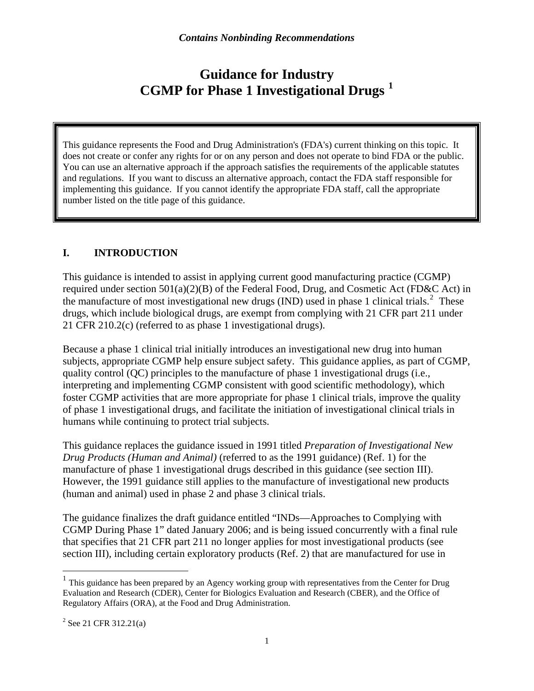## **Guidance for Industry CGMP for Phase 1 Investigational Drugs [1](#page-3-1)**

<span id="page-3-0"></span>This guidance represents the Food and Drug Administration's (FDA's) current thinking on this topic. It does not create or confer any rights for or on any person and does not operate to bind FDA or the public. You can use an alternative approach if the approach satisfies the requirements of the applicable statutes and regulations. If you want to discuss an alternative approach, contact the FDA staff responsible for implementing this guidance. If you cannot identify the appropriate FDA staff, call the appropriate number listed on the title page of this guidance.

#### **I. INTRODUCTION**

This guidance is intended to assist in applying current good manufacturing practice (CGMP) required under section  $501(a)(2)(B)$  of the Federal Food, Drug, and Cosmetic Act (FD&C Act) in the manufacture of most investigational new drugs (IND) used in phase 1 clinical trials.<sup>[2](#page-3-2)</sup> These drugs, which include biological drugs, are exempt from complying with 21 CFR part 211 under 21 CFR 210.2(c) (referred to as phase 1 investigational drugs).

Because a phase 1 clinical trial initially introduces an investigational new drug into human subjects, appropriate CGMP help ensure subject safety. This guidance applies, as part of CGMP, quality control (QC) principles to the manufacture of phase 1 investigational drugs (i.e., interpreting and implementing CGMP consistent with good scientific methodology), which foster CGMP activities that are more appropriate for phase 1 clinical trials, improve the quality of phase 1 investigational drugs, and facilitate the initiation of investigational clinical trials in humans while continuing to protect trial subjects.

This guidance replaces the guidance issued in 1991 titled *Preparation of Investigational New Drug Products (Human and Animal)* (referred to as the 1991 guidance) (Ref. 1) for the manufacture of phase 1 investigational drugs described in this guidance (see section III). However, the 1991 guidance still applies to the manufacture of investigational new products (human and animal) used in phase 2 and phase 3 clinical trials.

The guidance finalizes the draft guidance entitled "INDs—Approaches to Complying with CGMP During Phase 1" dated January 2006; and is being issued concurrently with a final rule that specifies that 21 CFR part 211 no longer applies for most investigational products (see section III), including certain exploratory products (Ref. 2) that are manufactured for use in

 $\overline{a}$ 

<span id="page-3-1"></span> $<sup>1</sup>$  This guidance has been prepared by an Agency working group with representatives from the Center for Drug</sup> Evaluation and Research (CDER), Center for Biologics Evaluation and Research (CBER), and the Office of Regulatory Affairs (ORA), at the Food and Drug Administration.

<span id="page-3-2"></span> $2^{2}$  See 21 CFR 312.21(a)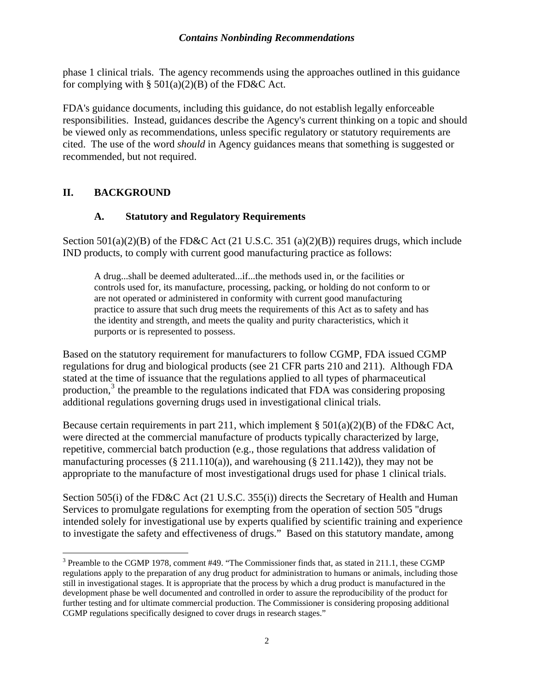<span id="page-4-0"></span>phase 1 clinical trials. The agency recommends using the approaches outlined in this guidance for complying with  $\S$  501(a)(2)(B) of the FD&C Act.

FDA's guidance documents, including this guidance, do not establish legally enforceable responsibilities. Instead, guidances describe the Agency's current thinking on a topic and should be viewed only as recommendations, unless specific regulatory or statutory requirements are cited. The use of the word *should* in Agency guidances means that something is suggested or recommended, but not required.

#### **II. BACKGROUND**

#### **A. Statutory and Regulatory Requirements**

Section  $501(a)(2)(B)$  of the FD&C Act (21 U.S.C. 351 (a)(2)(B)) requires drugs, which include IND products, to comply with current good manufacturing practice as follows:

A drug...shall be deemed adulterated...if...the methods used in, or the facilities or controls used for, its manufacture, processing, packing, or holding do not conform to or are not operated or administered in conformity with current good manufacturing practice to assure that such drug meets the requirements of this Act as to safety and has the identity and strength, and meets the quality and purity characteristics, which it purports or is represented to possess.

Based on the statutory requirement for manufacturers to follow CGMP, FDA issued CGMP regulations for drug and biological products (see 21 CFR parts 210 and 211). Although FDA stated at the time of issuance that the regulations applied to all types of pharmaceutical production, $3$  the preamble to the regulations indicated that FDA was considering proposing additional regulations governing drugs used in investigational clinical trials.

Because certain requirements in part 211, which implement §  $501(a)(2)(B)$  of the FD&C Act, were directed at the commercial manufacture of products typically characterized by large, repetitive, commercial batch production (e.g., those regulations that address validation of manufacturing processes (§ 211.110(a)), and warehousing (§ 211.142)), they may not be appropriate to the manufacture of most investigational drugs used for phase 1 clinical trials.

Section 505(i) of the FD&C Act (21 U.S.C. 355(i)) directs the Secretary of Health and Human Services to promulgate regulations for exempting from the operation of section 505 "drugs intended solely for investigational use by experts qualified by scientific training and experience to investigate the safety and effectiveness of drugs." Based on this statutory mandate, among

<span id="page-4-1"></span><sup>&</sup>lt;sup>3</sup> Preamble to the CGMP 1978, comment #49. "The Commissioner finds that, as stated in 211.1, these CGMP regulations apply to the preparation of any drug product for administration to humans or animals, including those still in investigational stages. It is appropriate that the process by which a drug product is manufactured in the development phase be well documented and controlled in order to assure the reproducibility of the product for further testing and for ultimate commercial production. The Commissioner is considering proposing additional CGMP regulations specifically designed to cover drugs in research stages."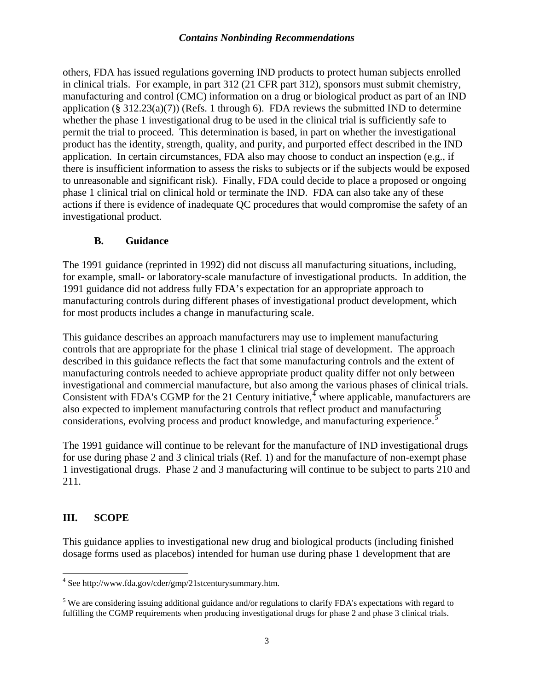<span id="page-5-0"></span>others, FDA has issued regulations governing IND products to protect human subjects enrolled in clinical trials. For example, in part 312 (21 CFR part 312), sponsors must submit chemistry, manufacturing and control (CMC) information on a drug or biological product as part of an IND application (§  $312.23(a)(7)$ ) (Refs. 1 through 6). FDA reviews the submitted IND to determine whether the phase 1 investigational drug to be used in the clinical trial is sufficiently safe to permit the trial to proceed. This determination is based, in part on whether the investigational product has the identity, strength, quality, and purity, and purported effect described in the IND application. In certain circumstances, FDA also may choose to conduct an inspection (e.g., if there is insufficient information to assess the risks to subjects or if the subjects would be exposed to unreasonable and significant risk). Finally, FDA could decide to place a proposed or ongoing phase 1 clinical trial on clinical hold or terminate the IND. FDA can also take any of these actions if there is evidence of inadequate QC procedures that would compromise the safety of an investigational product.

#### **B. Guidance**

The 1991 guidance (reprinted in 1992) did not discuss all manufacturing situations, including, for example, small- or laboratory-scale manufacture of investigational products. In addition, the 1991 guidance did not address fully FDA's expectation for an appropriate approach to manufacturing controls during different phases of investigational product development, which for most products includes a change in manufacturing scale.

This guidance describes an approach manufacturers may use to implement manufacturing controls that are appropriate for the phase 1 clinical trial stage of development. The approach described in this guidance reflects the fact that some manufacturing controls and the extent of manufacturing controls needed to achieve appropriate product quality differ not only between investigational and commercial manufacture, but also among the various phases of clinical trials. Consistent with FDA's CGMP for the 21 Century initiative, where applicable, manufacturers are also expected to implement manufacturing controls that reflect product and manufacturing considerations, evolving process and product knowledge, and manufacturing experience.<sup>[5](#page-5-2)</sup>

The 1991 guidance will continue to be relevant for the manufacture of IND investigational drugs for use during phase 2 and 3 clinical trials (Ref. 1) and for the manufacture of non-exempt phase 1 investigational drugs. Phase 2 and 3 manufacturing will continue to be subject to parts 210 and 211.

#### **III. SCOPE**

This guidance applies to investigational new drug and biological products (including finished dosage forms used as placebos) intended for human use during phase 1 development that are

<span id="page-5-1"></span> 4 See http://www.fda.gov/cder/gmp/21stcenturysummary.htm.

<span id="page-5-2"></span><sup>&</sup>lt;sup>5</sup> We are considering issuing additional guidance and/or regulations to clarify FDA's expectations with regard to fulfilling the CGMP requirements when producing investigational drugs for phase 2 and phase 3 clinical trials.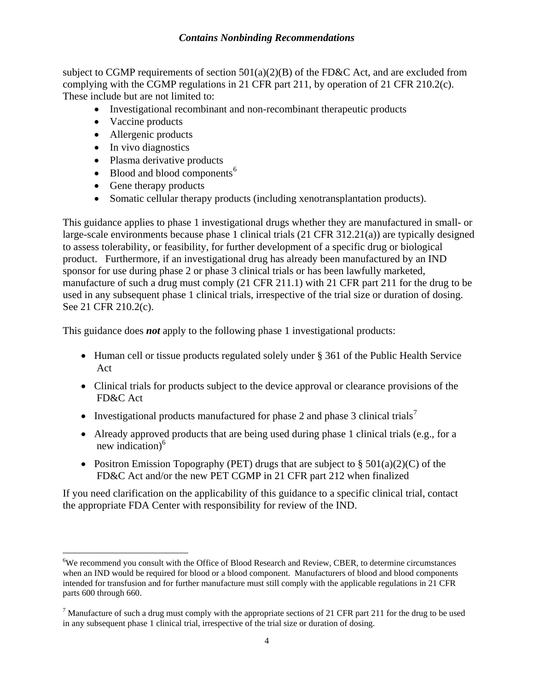subject to CGMP requirements of section  $501(a)(2)(B)$  of the FD&C Act, and are excluded from complying with the CGMP regulations in 21 CFR part 211, by operation of 21 CFR 210.2(c). These include but are not limited to:

- Investigational recombinant and non-recombinant therapeutic products
- Vaccine products
- Allergenic products
- In vivo diagnostics

 $\overline{a}$ 

- Plasma derivative products
- Blood and blood components $<sup>6</sup>$  $<sup>6</sup>$  $<sup>6</sup>$ </sup>
- Gene therapy products
- Somatic cellular therapy products (including xenotransplantation products).

This guidance applies to phase 1 investigational drugs whether they are manufactured in small- or large-scale environments because phase 1 clinical trials (21 CFR 312.21(a)) are typically designed to assess tolerability, or feasibility, for further development of a specific drug or biological product. Furthermore, if an investigational drug has already been manufactured by an IND sponsor for use during phase 2 or phase 3 clinical trials or has been lawfully marketed, manufacture of such a drug must comply (21 CFR 211.1) with 21 CFR part 211 for the drug to be used in any subsequent phase 1 clinical trials, irrespective of the trial size or duration of dosing. See 21 CFR 210.2(c).

This guidance does *not* apply to the following phase 1 investigational products:

- Human cell or tissue products regulated solely under § 361 of the Public Health Service Act
- Clinical trials for products subject to the device approval or clearance provisions of the FD&C Act
- Investigational products manufactured for phase 2 and phase 3 clinical trials<sup>[7](#page-6-1)</sup>
- Already approved products that are being used during phase 1 clinical trials (e.g., for a new indication) $<sup>6</sup>$ </sup>
- Positron Emission Topography (PET) drugs that are subject to  $\S$  501(a)(2)(C) of the FD&C Act and/or the new PET CGMP in 21 CFR part 212 when finalized

If you need clarification on the applicability of this guidance to a specific clinical trial, contact the appropriate FDA Center with responsibility for review of the IND.

<span id="page-6-0"></span><sup>&</sup>lt;sup>6</sup>We recommend you consult with the Office of Blood Research and Review, CBER, to determine circumstances when an IND would be required for blood or a blood component. Manufacturers of blood and blood components intended for transfusion and for further manufacture must still comply with the applicable regulations in 21 CFR parts 600 through 660.

<span id="page-6-1"></span><sup>&</sup>lt;sup>7</sup> Manufacture of such a drug must comply with the appropriate sections of 21 CFR part 211 for the drug to be used in any subsequent phase 1 clinical trial, irrespective of the trial size or duration of dosing.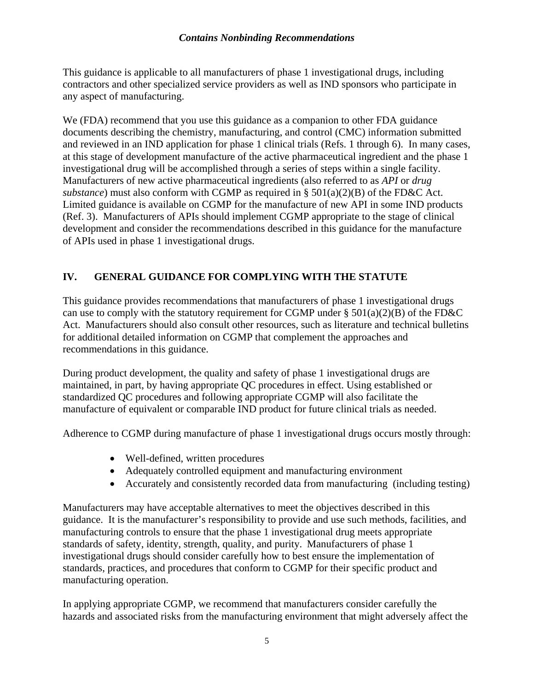<span id="page-7-0"></span>This guidance is applicable to all manufacturers of phase 1 investigational drugs, including contractors and other specialized service providers as well as IND sponsors who participate in any aspect of manufacturing.

We (FDA) recommend that you use this guidance as a companion to other FDA guidance documents describing the chemistry, manufacturing, and control (CMC) information submitted and reviewed in an IND application for phase 1 clinical trials (Refs. 1 through 6). In many cases, at this stage of development manufacture of the active pharmaceutical ingredient and the phase 1 investigational drug will be accomplished through a series of steps within a single facility. Manufacturers of new active pharmaceutical ingredients (also referred to as *API* or *drug substance*) must also conform with CGMP as required in § 501(a)(2)(B) of the FD&C Act. Limited guidance is available on CGMP for the manufacture of new API in some IND products (Ref. 3). Manufacturers of APIs should implement CGMP appropriate to the stage of clinical development and consider the recommendations described in this guidance for the manufacture of APIs used in phase 1 investigational drugs.

## **IV. GENERAL GUIDANCE FOR COMPLYING WITH THE STATUTE**

This guidance provides recommendations that manufacturers of phase 1 investigational drugs can use to comply with the statutory requirement for CGMP under  $\S 501(a)(2)(B)$  of the FD&C Act. Manufacturers should also consult other resources, such as literature and technical bulletins for additional detailed information on CGMP that complement the approaches and recommendations in this guidance.

During product development, the quality and safety of phase 1 investigational drugs are maintained, in part, by having appropriate QC procedures in effect. Using established or standardized QC procedures and following appropriate CGMP will also facilitate the manufacture of equivalent or comparable IND product for future clinical trials as needed.

Adherence to CGMP during manufacture of phase 1 investigational drugs occurs mostly through:

- Well-defined, written procedures
- Adequately controlled equipment and manufacturing environment
- Accurately and consistently recorded data from manufacturing (including testing)

Manufacturers may have acceptable alternatives to meet the objectives described in this guidance. It is the manufacturer's responsibility to provide and use such methods, facilities, and manufacturing controls to ensure that the phase 1 investigational drug meets appropriate standards of safety, identity, strength, quality, and purity. Manufacturers of phase 1 investigational drugs should consider carefully how to best ensure the implementation of standards, practices, and procedures that conform to CGMP for their specific product and manufacturing operation.

In applying appropriate CGMP, we recommend that manufacturers consider carefully the hazards and associated risks from the manufacturing environment that might adversely affect the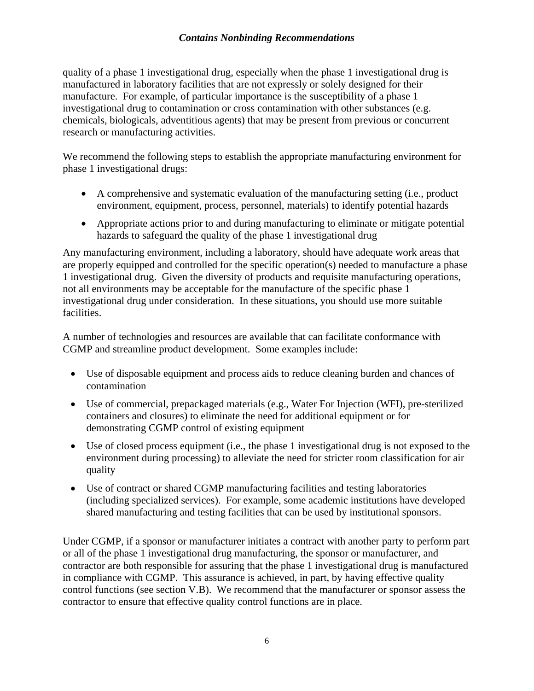quality of a phase 1 investigational drug, especially when the phase 1 investigational drug is manufactured in laboratory facilities that are not expressly or solely designed for their manufacture. For example, of particular importance is the susceptibility of a phase 1 investigational drug to contamination or cross contamination with other substances (e.g. chemicals, biologicals, adventitious agents) that may be present from previous or concurrent research or manufacturing activities.

We recommend the following steps to establish the appropriate manufacturing environment for phase 1 investigational drugs:

- A comprehensive and systematic evaluation of the manufacturing setting (i.e., product environment, equipment, process, personnel, materials) to identify potential hazards
- Appropriate actions prior to and during manufacturing to eliminate or mitigate potential hazards to safeguard the quality of the phase 1 investigational drug

Any manufacturing environment, including a laboratory, should have adequate work areas that are properly equipped and controlled for the specific operation(s) needed to manufacture a phase 1 investigational drug. Given the diversity of products and requisite manufacturing operations, not all environments may be acceptable for the manufacture of the specific phase 1 investigational drug under consideration. In these situations, you should use more suitable facilities.

A number of technologies and resources are available that can facilitate conformance with CGMP and streamline product development. Some examples include:

- Use of disposable equipment and process aids to reduce cleaning burden and chances of contamination
- Use of commercial, prepackaged materials (e.g., Water For Injection (WFI), pre-sterilized containers and closures) to eliminate the need for additional equipment or for demonstrating CGMP control of existing equipment
- Use of closed process equipment (i.e., the phase 1 investigational drug is not exposed to the environment during processing) to alleviate the need for stricter room classification for air quality
- Use of contract or shared CGMP manufacturing facilities and testing laboratories (including specialized services). For example, some academic institutions have developed shared manufacturing and testing facilities that can be used by institutional sponsors.

Under CGMP, if a sponsor or manufacturer initiates a contract with another party to perform part or all of the phase 1 investigational drug manufacturing, the sponsor or manufacturer, and contractor are both responsible for assuring that the phase 1 investigational drug is manufactured in compliance with CGMP. This assurance is achieved, in part, by having effective quality control functions (see section V.B). We recommend that the manufacturer or sponsor assess the contractor to ensure that effective quality control functions are in place.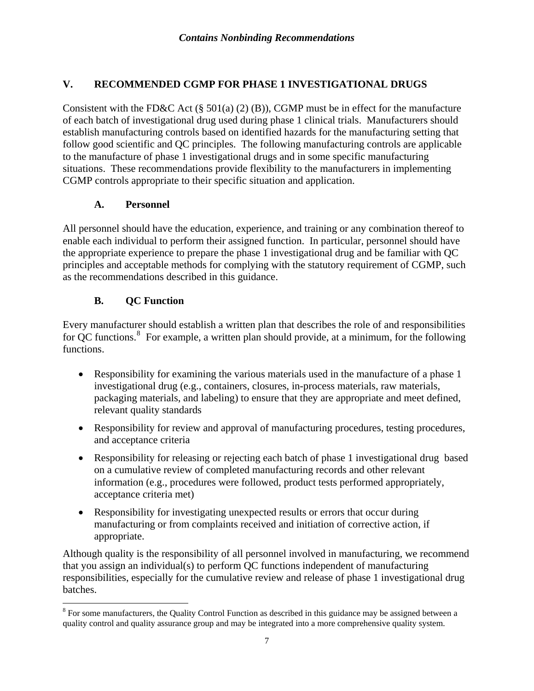## <span id="page-9-0"></span>**V. RECOMMENDED CGMP FOR PHASE 1 INVESTIGATIONAL DRUGS**

Consistent with the FD&C Act  $(\S 501(a) (2) (B))$ , CGMP must be in effect for the manufacture of each batch of investigational drug used during phase 1 clinical trials. Manufacturers should establish manufacturing controls based on identified hazards for the manufacturing setting that follow good scientific and QC principles. The following manufacturing controls are applicable to the manufacture of phase 1 investigational drugs and in some specific manufacturing situations. These recommendations provide flexibility to the manufacturers in implementing CGMP controls appropriate to their specific situation and application.

#### **A. Personnel**

All personnel should have the education, experience, and training or any combination thereof to enable each individual to perform their assigned function. In particular, personnel should have the appropriate experience to prepare the phase 1 investigational drug and be familiar with QC principles and acceptable methods for complying with the statutory requirement of CGMP, such as the recommendations described in this guidance.

#### **B. QC Function**

 $\overline{a}$ 

Every manufacturer should establish a written plan that describes the role of and responsibilities for QC functions.<sup>[8](#page-9-1)</sup> For example, a written plan should provide, at a minimum, for the following functions.

- Responsibility for examining the various materials used in the manufacture of a phase 1 investigational drug (e.g., containers, closures, in-process materials, raw materials, packaging materials, and labeling) to ensure that they are appropriate and meet defined, relevant quality standards
- Responsibility for review and approval of manufacturing procedures, testing procedures, and acceptance criteria
- Responsibility for releasing or rejecting each batch of phase 1 investigational drug based on a cumulative review of completed manufacturing records and other relevant information (e.g., procedures were followed, product tests performed appropriately, acceptance criteria met)
- Responsibility for investigating unexpected results or errors that occur during manufacturing or from complaints received and initiation of corrective action, if appropriate.

Although quality is the responsibility of all personnel involved in manufacturing, we recommend that you assign an individual(s) to perform QC functions independent of manufacturing responsibilities, especially for the cumulative review and release of phase 1 investigational drug batches.

<span id="page-9-1"></span> $8$  For some manufacturers, the Quality Control Function as described in this guidance may be assigned between a quality control and quality assurance group and may be integrated into a more comprehensive quality system.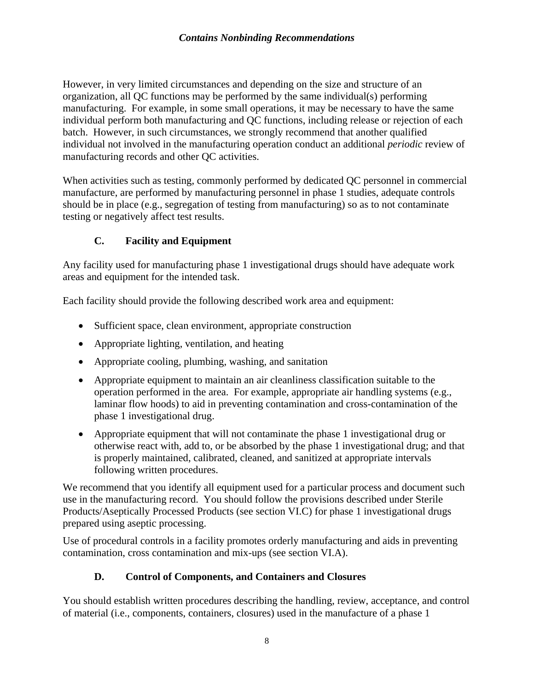<span id="page-10-0"></span>However, in very limited circumstances and depending on the size and structure of an organization, all QC functions may be performed by the same individual(s) performing manufacturing. For example, in some small operations, it may be necessary to have the same individual perform both manufacturing and QC functions, including release or rejection of each batch. However, in such circumstances, we strongly recommend that another qualified individual not involved in the manufacturing operation conduct an additional *periodic* review of manufacturing records and other QC activities.

When activities such as testing, commonly performed by dedicated QC personnel in commercial manufacture, are performed by manufacturing personnel in phase 1 studies, adequate controls should be in place (e.g., segregation of testing from manufacturing) so as to not contaminate testing or negatively affect test results.

## **C. Facility and Equipment**

Any facility used for manufacturing phase 1 investigational drugs should have adequate work areas and equipment for the intended task.

Each facility should provide the following described work area and equipment:

- Sufficient space, clean environment, appropriate construction
- Appropriate lighting, ventilation, and heating
- Appropriate cooling, plumbing, washing, and sanitation
- Appropriate equipment to maintain an air cleanliness classification suitable to the operation performed in the area. For example, appropriate air handling systems (e.g., laminar flow hoods) to aid in preventing contamination and cross-contamination of the phase 1 investigational drug.
- Appropriate equipment that will not contaminate the phase 1 investigational drug or otherwise react with, add to, or be absorbed by the phase 1 investigational drug; and that is properly maintained, calibrated, cleaned, and sanitized at appropriate intervals following written procedures.

We recommend that you identify all equipment used for a particular process and document such use in the manufacturing record. You should follow the provisions described under Sterile Products/Aseptically Processed Products (see section VI.C) for phase 1 investigational drugs prepared using aseptic processing.

Use of procedural controls in a facility promotes orderly manufacturing and aids in preventing contamination, cross contamination and mix-ups (see section VI.A).

## **D. Control of Components, and Containers and Closures**

You should establish written procedures describing the handling, review, acceptance, and control of material (i.e., components, containers, closures) used in the manufacture of a phase 1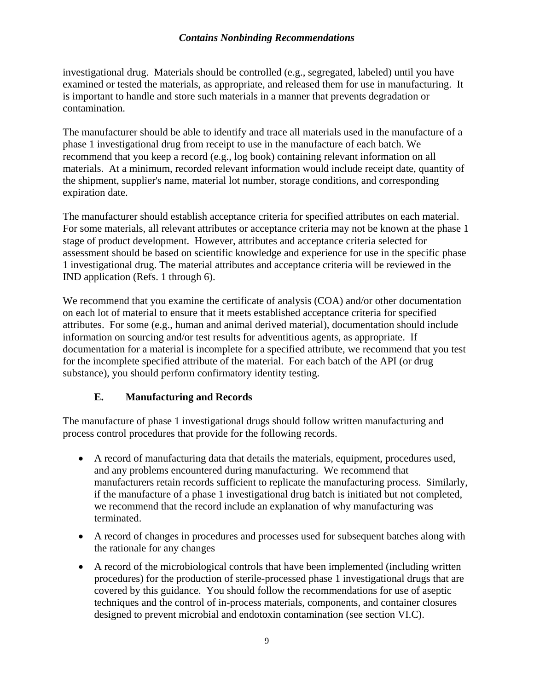<span id="page-11-0"></span>investigational drug. Materials should be controlled (e.g., segregated, labeled) until you have examined or tested the materials, as appropriate, and released them for use in manufacturing. It is important to handle and store such materials in a manner that prevents degradation or contamination.

The manufacturer should be able to identify and trace all materials used in the manufacture of a phase 1 investigational drug from receipt to use in the manufacture of each batch. We recommend that you keep a record (e.g., log book) containing relevant information on all materials. At a minimum, recorded relevant information would include receipt date, quantity of the shipment, supplier's name, material lot number, storage conditions, and corresponding expiration date.

The manufacturer should establish acceptance criteria for specified attributes on each material. For some materials, all relevant attributes or acceptance criteria may not be known at the phase 1 stage of product development. However, attributes and acceptance criteria selected for assessment should be based on scientific knowledge and experience for use in the specific phase 1 investigational drug. The material attributes and acceptance criteria will be reviewed in the IND application (Refs. 1 through 6).

We recommend that you examine the certificate of analysis (COA) and/or other documentation on each lot of material to ensure that it meets established acceptance criteria for specified attributes. For some (e.g., human and animal derived material), documentation should include information on sourcing and/or test results for adventitious agents, as appropriate. If documentation for a material is incomplete for a specified attribute, we recommend that you test for the incomplete specified attribute of the material. For each batch of the API (or drug substance), you should perform confirmatory identity testing.

#### **E. Manufacturing and Records**

The manufacture of phase 1 investigational drugs should follow written manufacturing and process control procedures that provide for the following records.

- A record of manufacturing data that details the materials, equipment, procedures used, and any problems encountered during manufacturing. We recommend that manufacturers retain records sufficient to replicate the manufacturing process. Similarly, if the manufacture of a phase 1 investigational drug batch is initiated but not completed, we recommend that the record include an explanation of why manufacturing was terminated.
- A record of changes in procedures and processes used for subsequent batches along with the rationale for any changes
- A record of the microbiological controls that have been implemented (including written procedures) for the production of sterile-processed phase 1 investigational drugs that are covered by this guidance. You should follow the recommendations for use of aseptic techniques and the control of in-process materials, components, and container closures designed to prevent microbial and endotoxin contamination (see section VI.C).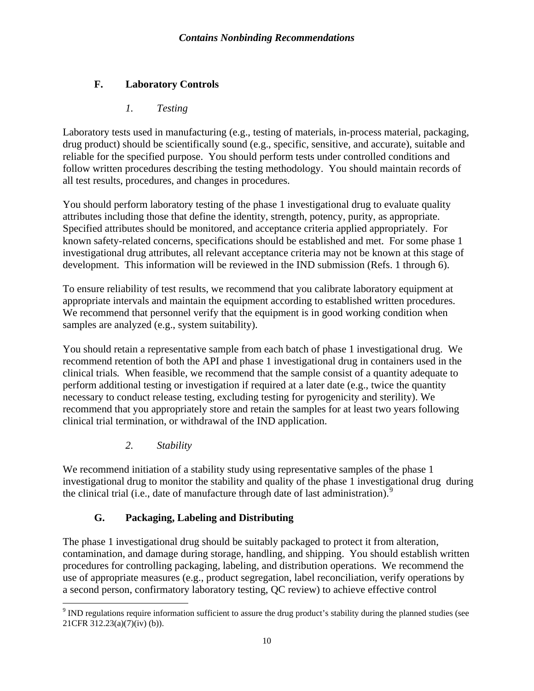## <span id="page-12-0"></span>**F. Laboratory Controls**

## *1. Testing*

Laboratory tests used in manufacturing (e.g., testing of materials, in-process material, packaging, drug product) should be scientifically sound (e.g., specific, sensitive, and accurate), suitable and reliable for the specified purpose. You should perform tests under controlled conditions and follow written procedures describing the testing methodology. You should maintain records of all test results, procedures, and changes in procedures.

You should perform laboratory testing of the phase 1 investigational drug to evaluate quality attributes including those that define the identity, strength, potency, purity, as appropriate. Specified attributes should be monitored, and acceptance criteria applied appropriately. For known safety-related concerns, specifications should be established and met. For some phase 1 investigational drug attributes, all relevant acceptance criteria may not be known at this stage of development. This information will be reviewed in the IND submission (Refs. 1 through 6).

To ensure reliability of test results, we recommend that you calibrate laboratory equipment at appropriate intervals and maintain the equipment according to established written procedures. We recommend that personnel verify that the equipment is in good working condition when samples are analyzed (e.g., system suitability).

You should retain a representative sample from each batch of phase 1 investigational drug. We recommend retention of both the API and phase 1 investigational drug in containers used in the clinical trials*.* When feasible, we recommend that the sample consist of a quantity adequate to perform additional testing or investigation if required at a later date (e.g., twice the quantity necessary to conduct release testing, excluding testing for pyrogenicity and sterility). We recommend that you appropriately store and retain the samples for at least two years following clinical trial termination, or withdrawal of the IND application.

*2. Stability* 

We recommend initiation of a stability study using representative samples of the phase 1 investigational drug to monitor the stability and quality of the phase 1 investigational drug during the clinical trial (i.e., date of manufacture through date of last administration).<sup>[9](#page-12-1)</sup>

## **G. Packaging, Labeling and Distributing**

The phase 1 investigational drug should be suitably packaged to protect it from alteration, contamination, and damage during storage, handling, and shipping. You should establish written procedures for controlling packaging, labeling, and distribution operations. We recommend the use of appropriate measures (e.g., product segregation, label reconciliation, verify operations by a second person, confirmatory laboratory testing, QC review) to achieve effective control

<span id="page-12-1"></span><sup>&</sup>lt;sup>9</sup> IND regulations require information sufficient to assure the drug product's stability during the planned studies (see 21CFR 312.23(a)(7)(iv) (b)).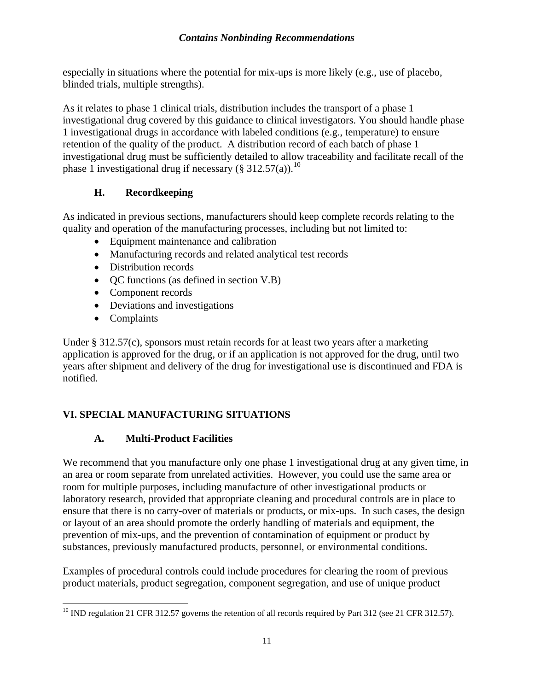<span id="page-13-0"></span>especially in situations where the potential for mix-ups is more likely (e.g., use of placebo, blinded trials, multiple strengths).

As it relates to phase 1 clinical trials, distribution includes the transport of a phase 1 investigational drug covered by this guidance to clinical investigators. You should handle phase 1 investigational drugs in accordance with labeled conditions (e.g., temperature) to ensure retention of the quality of the product. A distribution record of each batch of phase 1 investigational drug must be sufficiently detailed to allow traceability and facilitate recall of the phase 1 investigational drug if necessary (§ 312.57(a)).<sup>[10](#page-13-1)</sup>

## **H. Recordkeeping**

As indicated in previous sections, manufacturers should keep complete records relating to the quality and operation of the manufacturing processes, including but not limited to:

- Equipment maintenance and calibration
- Manufacturing records and related analytical test records
- Distribution records
- QC functions (as defined in section V.B)
- Component records
- Deviations and investigations
- Complaints

Under § 312.57(c), sponsors must retain records for at least two years after a marketing application is approved for the drug, or if an application is not approved for the drug, until two years after shipment and delivery of the drug for investigational use is discontinued and FDA is notified.

## **VI. SPECIAL MANUFACTURING SITUATIONS**

## **A. Multi-Product Facilities**

We recommend that you manufacture only one phase 1 investigational drug at any given time, in an area or room separate from unrelated activities. However, you could use the same area or room for multiple purposes, including manufacture of other investigational products or laboratory research, provided that appropriate cleaning and procedural controls are in place to ensure that there is no carry-over of materials or products, or mix-ups. In such cases, the design or layout of an area should promote the orderly handling of materials and equipment, the prevention of mix-ups, and the prevention of contamination of equipment or product by substances, previously manufactured products, personnel, or environmental conditions.

Examples of procedural controls could include procedures for clearing the room of previous product materials, product segregation, component segregation, and use of unique product

<span id="page-13-1"></span> $\overline{a}$  $^{10}$  IND regulation 21 CFR 312.57 governs the retention of all records required by Part 312 (see 21 CFR 312.57).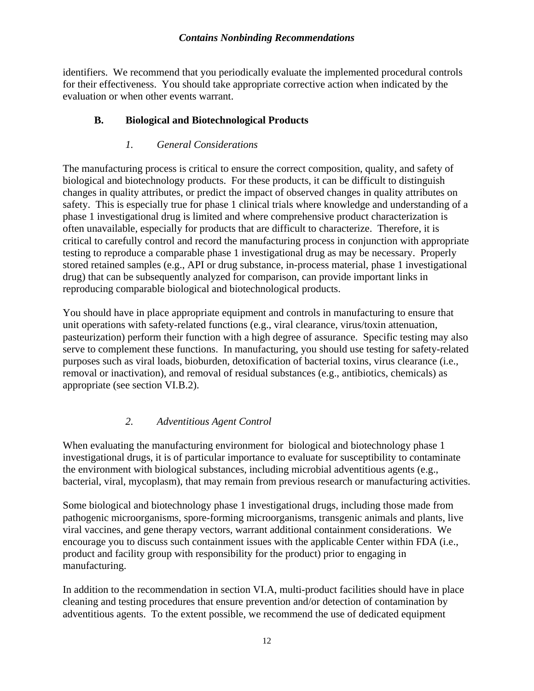<span id="page-14-0"></span>identifiers. We recommend that you periodically evaluate the implemented procedural controls for their effectiveness. You should take appropriate corrective action when indicated by the evaluation or when other events warrant.

#### **B. Biological and Biotechnological Products**

#### *1. General Considerations*

The manufacturing process is critical to ensure the correct composition, quality, and safety of biological and biotechnology products. For these products, it can be difficult to distinguish changes in quality attributes, or predict the impact of observed changes in quality attributes on safety. This is especially true for phase 1 clinical trials where knowledge and understanding of a phase 1 investigational drug is limited and where comprehensive product characterization is often unavailable, especially for products that are difficult to characterize. Therefore, it is critical to carefully control and record the manufacturing process in conjunction with appropriate testing to reproduce a comparable phase 1 investigational drug as may be necessary. Properly stored retained samples (e.g., API or drug substance, in-process material, phase 1 investigational drug) that can be subsequently analyzed for comparison, can provide important links in reproducing comparable biological and biotechnological products.

You should have in place appropriate equipment and controls in manufacturing to ensure that unit operations with safety-related functions (e.g., viral clearance, virus/toxin attenuation, pasteurization) perform their function with a high degree of assurance. Specific testing may also serve to complement these functions. In manufacturing, you should use testing for safety-related purposes such as viral loads, bioburden, detoxification of bacterial toxins, virus clearance (i.e., removal or inactivation), and removal of residual substances (e.g., antibiotics, chemicals) as appropriate (see section VI.B.2).

#### *2. Adventitious Agent Control*

When evaluating the manufacturing environment for biological and biotechnology phase 1 investigational drugs, it is of particular importance to evaluate for susceptibility to contaminate the environment with biological substances, including microbial adventitious agents (e.g., bacterial, viral, mycoplasm), that may remain from previous research or manufacturing activities.

Some biological and biotechnology phase 1 investigational drugs, including those made from pathogenic microorganisms, spore-forming microorganisms, transgenic animals and plants, live viral vaccines, and gene therapy vectors, warrant additional containment considerations. We encourage you to discuss such containment issues with the applicable Center within FDA (i.e., product and facility group with responsibility for the product) prior to engaging in manufacturing.

In addition to the recommendation in section VI.A, multi-product facilities should have in place cleaning and testing procedures that ensure prevention and/or detection of contamination by adventitious agents. To the extent possible, we recommend the use of dedicated equipment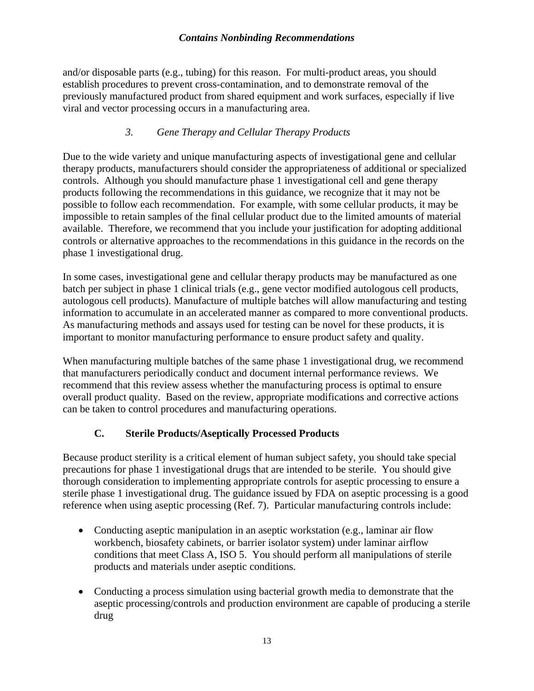<span id="page-15-0"></span>and/or disposable parts (e.g., tubing) for this reason. For multi-product areas, you should establish procedures to prevent cross-contamination, and to demonstrate removal of the previously manufactured product from shared equipment and work surfaces, especially if live viral and vector processing occurs in a manufacturing area.

#### *3. Gene Therapy and Cellular Therapy Products*

Due to the wide variety and unique manufacturing aspects of investigational gene and cellular therapy products, manufacturers should consider the appropriateness of additional or specialized controls. Although you should manufacture phase 1 investigational cell and gene therapy products following the recommendations in this guidance, we recognize that it may not be possible to follow each recommendation. For example, with some cellular products, it may be impossible to retain samples of the final cellular product due to the limited amounts of material available. Therefore, we recommend that you include your justification for adopting additional controls or alternative approaches to the recommendations in this guidance in the records on the phase 1 investigational drug.

In some cases, investigational gene and cellular therapy products may be manufactured as one batch per subject in phase 1 clinical trials (e.g., gene vector modified autologous cell products, autologous cell products). Manufacture of multiple batches will allow manufacturing and testing information to accumulate in an accelerated manner as compared to more conventional products. As manufacturing methods and assays used for testing can be novel for these products, it is important to monitor manufacturing performance to ensure product safety and quality.

When manufacturing multiple batches of the same phase 1 investigational drug, we recommend that manufacturers periodically conduct and document internal performance reviews. We recommend that this review assess whether the manufacturing process is optimal to ensure overall product quality. Based on the review, appropriate modifications and corrective actions can be taken to control procedures and manufacturing operations.

## **C. Sterile Products/Aseptically Processed Products**

Because product sterility is a critical element of human subject safety, you should take special precautions for phase 1 investigational drugs that are intended to be sterile. You should give thorough consideration to implementing appropriate controls for aseptic processing to ensure a sterile phase 1 investigational drug. The guidance issued by FDA on aseptic processing is a good reference when using aseptic processing (Ref. 7). Particular manufacturing controls include:

- Conducting aseptic manipulation in an aseptic workstation (e.g., laminar air flow workbench, biosafety cabinets, or barrier isolator system) under laminar airflow conditions that meet Class A, ISO 5. You should perform all manipulations of sterile products and materials under aseptic conditions.
- Conducting a process simulation using bacterial growth media to demonstrate that the aseptic processing/controls and production environment are capable of producing a sterile drug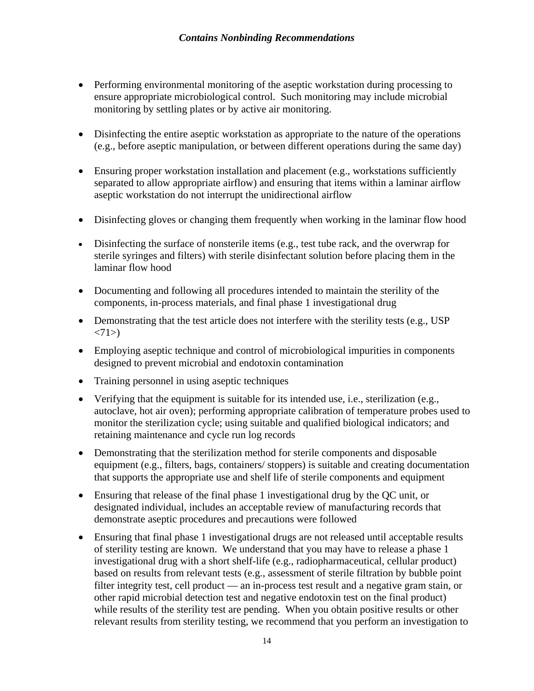- Performing environmental monitoring of the aseptic workstation during processing to ensure appropriate microbiological control. Such monitoring may include microbial monitoring by settling plates or by active air monitoring.
- Disinfecting the entire aseptic workstation as appropriate to the nature of the operations (e.g., before aseptic manipulation, or between different operations during the same day)
- Ensuring proper workstation installation and placement (e.g., workstations sufficiently separated to allow appropriate airflow) and ensuring that items within a laminar airflow aseptic workstation do not interrupt the unidirectional airflow
- Disinfecting gloves or changing them frequently when working in the laminar flow hood
- Disinfecting the surface of nonsterile items (e.g., test tube rack, and the overwrap for sterile syringes and filters) with sterile disinfectant solution before placing them in the laminar flow hood
- Documenting and following all procedures intended to maintain the sterility of the components, in-process materials, and final phase 1 investigational drug
- Demonstrating that the test article does not interfere with the sterility tests (e.g., USP)  $\langle 71 \rangle$
- Employing aseptic technique and control of microbiological impurities in components designed to prevent microbial and endotoxin contamination
- Training personnel in using aseptic techniques
- Verifying that the equipment is suitable for its intended use, i.e., sterilization (e.g., autoclave, hot air oven); performing appropriate calibration of temperature probes used to monitor the sterilization cycle; using suitable and qualified biological indicators; and retaining maintenance and cycle run log records
- Demonstrating that the sterilization method for sterile components and disposable equipment (e.g., filters, bags, containers/ stoppers) is suitable and creating documentation that supports the appropriate use and shelf life of sterile components and equipment
- Ensuring that release of the final phase 1 investigational drug by the QC unit, or designated individual, includes an acceptable review of manufacturing records that demonstrate aseptic procedures and precautions were followed
- Ensuring that final phase 1 investigational drugs are not released until acceptable results of sterility testing are known. We understand that you may have to release a phase 1 investigational drug with a short shelf-life (e.g., radiopharmaceutical, cellular product) based on results from relevant tests (e.g., assessment of sterile filtration by bubble point filter integrity test, cell product — an in-process test result and a negative gram stain, or other rapid microbial detection test and negative endotoxin test on the final product) while results of the sterility test are pending. When you obtain positive results or other relevant results from sterility testing, we recommend that you perform an investigation to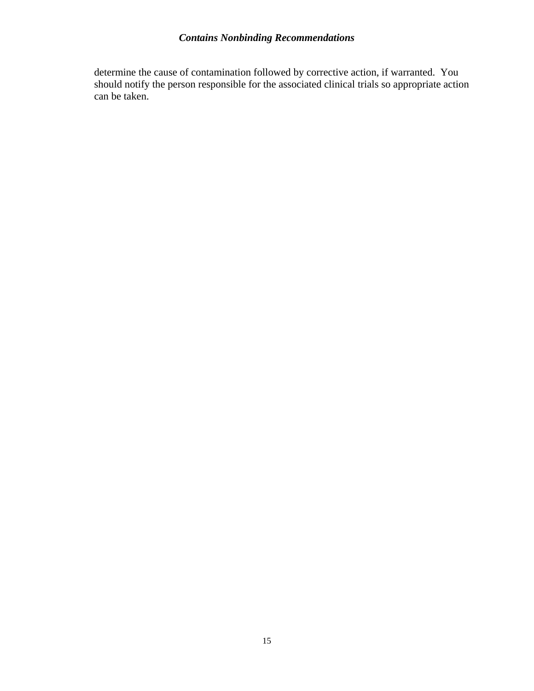determine the cause of contamination followed by corrective action, if warranted. You should notify the person responsible for the associated clinical trials so appropriate action can be taken.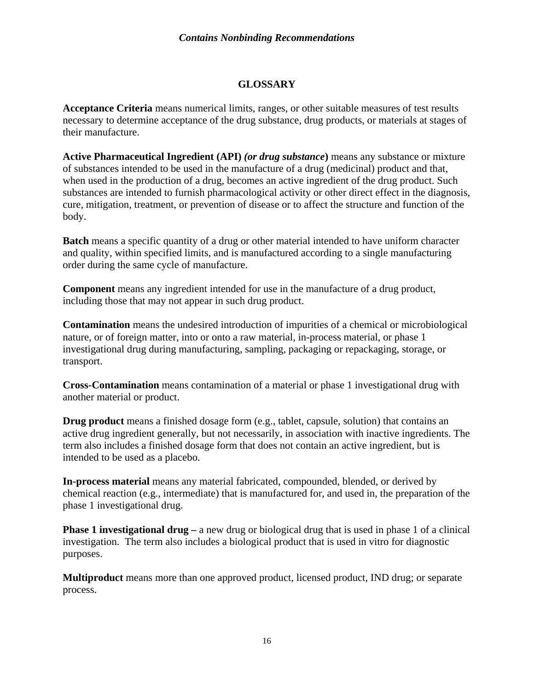## **GLOSSARY**

<span id="page-18-0"></span>**Acceptance Criteria** means numerical limits, ranges, or other suitable measures of test results necessary to determine acceptance of the drug substance, drug products, or materials at stages of their manufacture.

**Active Pharmaceutical Ingredient (API)** *(or drug substance***)** means any substance or mixture of substances intended to be used in the manufacture of a drug (medicinal) product and that, when used in the production of a drug, becomes an active ingredient of the drug product. Such substances are intended to furnish pharmacological activity or other direct effect in the diagnosis, cure, mitigation, treatment, or prevention of disease or to affect the structure and function of the body.

**Batch** means a specific quantity of a drug or other material intended to have uniform character and quality, within specified limits, and is manufactured according to a single manufacturing order during the same cycle of manufacture.

**Component** means any ingredient intended for use in the manufacture of a drug product, including those that may not appear in such drug product.

**Contamination** means the undesired introduction of impurities of a chemical or microbiological nature, or of foreign matter, into or onto a raw material, in-process material, or phase 1 investigational drug during manufacturing, sampling, packaging or repackaging, storage, or transport.

**Cross-Contamination** means contamination of a material or phase 1 investigational drug with another material or product.

**Drug product** means a finished dosage form (e.g., tablet, capsule, solution) that contains an active drug ingredient generally, but not necessarily, in association with inactive ingredients. The term also includes a finished dosage form that does not contain an active ingredient, but is intended to be used as a placebo.

**In-process material** means any material fabricated, compounded, blended, or derived by chemical reaction (e.g., intermediate) that is manufactured for, and used in, the preparation of the phase 1 investigational drug.

**Phase 1 investigational drug – a** new drug or biological drug that is used in phase 1 of a clinical investigation. The term also includes a biological product that is used in vitro for diagnostic purposes.

**Multiproduct** means more than one approved product, licensed product, IND drug; or separate process.